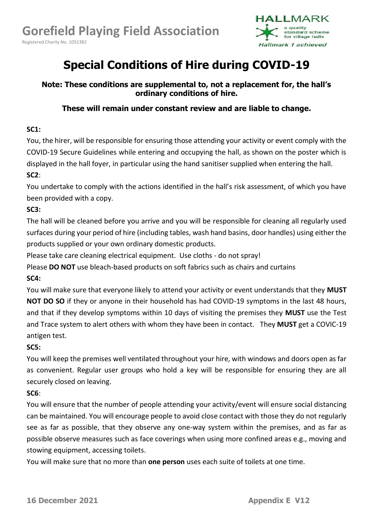Registered Charity No. 1051382



# **Special Conditions of Hire during COVID-19**

**Note: These conditions are supplemental to, not a replacement for, the hall's ordinary conditions of hire.**

# **These will remain under constant review and are liable to change.**

#### **SC1:**

You, the hirer, will be responsible for ensuring those attending your activity or event comply with the COVID-19 Secure Guidelines while entering and occupying the hall, as shown on the poster which is displayed in the hall foyer, in particular using the hand sanitiser supplied when entering the hall. **SC2**:

You undertake to comply with the actions identified in the hall's risk assessment, of which you have been provided with a copy.

### **SC3:**

The hall will be cleaned before you arrive and you will be responsible for cleaning all regularly used surfaces during your period of hire (including tables, wash hand basins, door handles) using either the products supplied or your own ordinary domestic products.

Please take care cleaning electrical equipment. Use cloths - do not spray!

Please **DO NOT** use bleach-based products on soft fabrics such as chairs and curtains

### **SC4:**

You will make sure that everyone likely to attend your activity or event understands that they **MUST NOT DO SO** if they or anyone in their household has had COVID-19 symptoms in the last 48 hours, and that if they develop symptoms within 10 days of visiting the premises they **MUST** use the Test and Trace system to alert others with whom they have been in contact. They **MUST** get a COVIC-19 antigen test.

### **SC5:**

You will keep the premises well ventilated throughout your hire, with windows and doors open as far as convenient. Regular user groups who hold a key will be responsible for ensuring they are all securely closed on leaving.

### **SC6**:

You will ensure that the number of people attending your activity/event will ensure social distancing can be maintained. You will encourage people to avoid close contact with those they do not regularly see as far as possible, that they observe any one-way system within the premises, and as far as possible observe measures such as face coverings when using more confined areas e.g., moving and stowing equipment, accessing toilets.

You will make sure that no more than **one person** uses each suite of toilets at one time.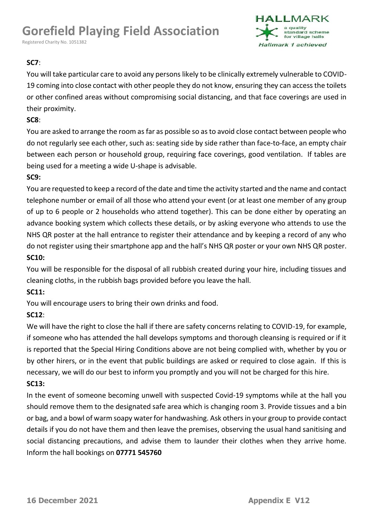# **Gorefield Playing Field Association**

Registered Charity No. 1051382



## **SC7**:

You will take particular care to avoid any persons likely to be clinically extremely vulnerable to COVID-19 coming into close contact with other people they do not know, ensuring they can access the toilets or other confined areas without compromising social distancing, and that face coverings are used in their proximity.

#### **SC8**:

You are asked to arrange the room as far as possible so as to avoid close contact between people who do not regularly see each other, such as: seating side by side rather than face-to-face, an empty chair between each person or household group, requiring face coverings, good ventilation. If tables are being used for a meeting a wide U-shape is advisable.

### **SC9:**

You are requested to keep a record of the date and time the activity started and the name and contact telephone number or email of all those who attend your event (or at least one member of any group of up to 6 people or 2 households who attend together). This can be done either by operating an advance booking system which collects these details, or by asking everyone who attends to use the NHS QR poster at the hall entrance to register their attendance and by keeping a record of any who do not register using their smartphone app and the hall's NHS QR poster or your own NHS QR poster. **SC10:**

You will be responsible for the disposal of all rubbish created during your hire, including tissues and cleaning cloths, in the rubbish bags provided before you leave the hall.

# **SC11:**

You will encourage users to bring their own drinks and food.

### **SC12**:

We will have the right to close the hall if there are safety concerns relating to COVID-19, for example, if someone who has attended the hall develops symptoms and thorough cleansing is required or if it is reported that the Special Hiring Conditions above are not being complied with, whether by you or by other hirers, or in the event that public buildings are asked or required to close again. If this is necessary, we will do our best to inform you promptly and you will not be charged for this hire. **SC13:** 

# In the event of someone becoming unwell with suspected Covid-19 symptoms while at the hall you should remove them to the designated safe area which is changing room 3. Provide tissues and a bin or bag, and a bowl of warm soapy water for handwashing. Ask others in your group to provide contact details if you do not have them and then leave the premises, observing the usual hand sanitising and social distancing precautions, and advise them to launder their clothes when they arrive home. Inform the hall bookings on **07771 545760**